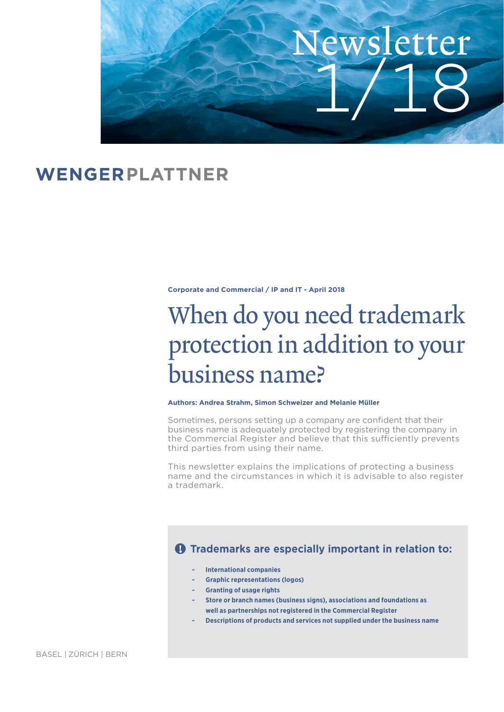

# WENGERPLATTNER

**Corporate and Commercial / IP and IT - April 2018**

# When do you need trademark protection in addition to your business name?

#### **Authors: Andrea Strahm, Simon Schweizer and Melanie Müller**

Sometimes, persons setting up a company are confident that their business name is adequately protected by registering the company in the Commercial Register and believe that this sufficiently prevents third parties from using their name.

This newsletter explains the implications of protecting a business name and the circumstances in which it is advisable to also register a trademark.

# $\theta$  Trademarks are especially important in relation to:

- **International companies**
- **Graphic representations (logos)**
- **Granting of usage rights**
- **Store or branch names (business signs), associations and foundations as well as partnerships not registered in the Commercial Register**
- **Descriptions of products and services not supplied under the business name**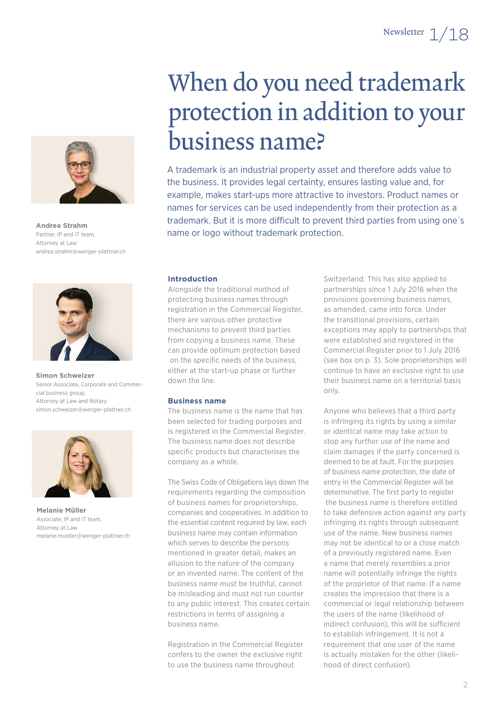

**Andrea Strahm** Partner, IP and IT team, Attorney at Law andrea.strahm@wenger-plattner.ch



**Simon Schweizer** Senior Associate, Corporate and Commercial business group, Attorney at Law and Notary simon.schweizer@wenger-plattner.ch



**Melanie Müller** Associate, IP and IT team, Attorney at Law melanie.mueller@wenger-plattner.ch

# When do you need trademark protection in addition to your business name?

A trademark is an industrial property asset and therefore adds value to the business. It provides legal certainty, ensures lasting value and, for example, makes start-ups more attractive to investors. Product names or names for services can be used independently from their protection as a trademark. But it is more difficult to prevent third parties from using one's name or logo without trademark protection.

## **Introduction**

Alongside the traditional method of protecting business names through registration in the Commercial Register, there are various other protective mechanisms to prevent third parties from copying a business name. These can provide optimum protection based on the specific needs of the business, either at the start-up phase or further down the line.

## **Business name**

The business name is the name that has been selected for trading purposes and is registered in the Commercial Register. The business name does not describe specific products but characterises the company as a whole.

The Swiss Code of Obligations lays down the requirements regarding the composition of business names for proprietorships, companies and cooperatives. In addition to the essential content required by law, each business name may contain information which serves to describe the persons mentioned in greater detail, makes an allusion to the nature of the company or an invented name. The content of the business name must be truthful, cannot be misleading and must not run counter to any public interest. This creates certain restrictions in terms of assigning a business name.

Registration in the Commercial Register confers to the owner the exclusive right to use the business name throughout

Switzerland. This has also applied to partnerships since 1 July 2016 when the provisions governing business names, as amended, came into force. Under the transitional provisions, certain exceptions may apply to partnerships that were established and registered in the Commercial Register prior to 1 July 2016 (see box on p. 3). Sole proprietorships will continue to have an exclusive right to use their business name on a territorial basis only.

Anyone who believes that a third party is infringing its rights by using a similar or identical name may take action to stop any further use of the name and claim damages if the party concerned is deemed to be at fault. For the purposes of business name protection, the date of entry in the Commercial Register will be determinative. The first party to register the business name is therefore entitled to take defensive action against any party infringing its rights through subsequent use of the name. New business names may not be identical to or a close match of a previously registered name. Even a name that merely resembles a prior name will potentially infringe the rights of the proprietor of that name. If a name creates the impression that there is a commercial or legal relationship between the users of the name (likelihood of indirect confusion), this will be sufficient to establish infringement. It is not a requirement that one user of the name is actually mistaken for the other (likelihood of direct confusion).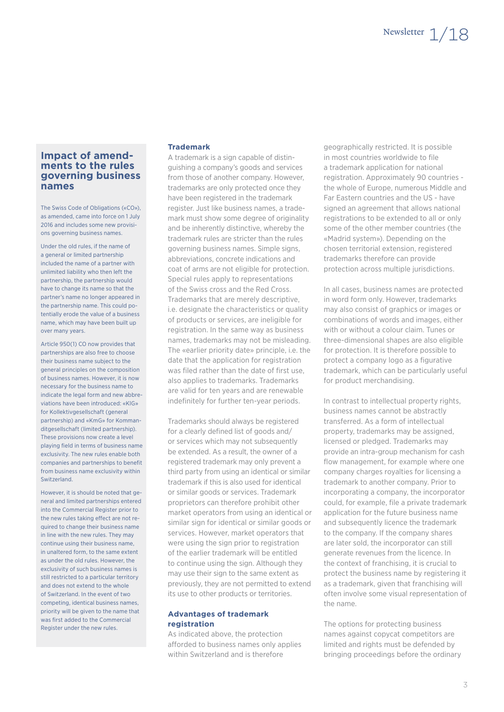# **Impact of amendments to the rules governing business names**

The Swiss Code of Obligations («CO»), as amended, came into force on 1 July 2016 and includes some new provisions governing business names.

Under the old rules, if the name of a general or limited partnership included the name of a partner with unlimited liability who then left the partnership, the partnership would have to change its name so that the partner's name no longer appeared in the partnership name. This could potentially erode the value of a business name, which may have been built up over many years.

Article 950(1) CO now provides that partnerships are also free to choose their business name subject to the general principles on the composition of business names. However, it is now necessary for the business name to indicate the legal form and new abbreviations have been introduced: «KlG» for Kollektivgesellschaft (general partnership) and «KmG» for Kommanditgesellschaft (limited partnership). These provisions now create a level playing field in terms of business name exclusivity. The new rules enable both companies and partnerships to benefit from business name exclusivity within Switzerland.

However, it is should be noted that general and limited partnerships entered into the Commercial Register prior to the new rules taking effect are not required to change their business name in line with the new rules. They may continue using their business name, in unaltered form, to the same extent as under the old rules. However, the exclusivity of such business names is still restricted to a particular territory and does not extend to the whole of Switzerland. In the event of two competing, identical business names, priority will be given to the name that was first added to the Commercial Register under the new rules.

## **Trademark**

A trademark is a sign capable of distinguishing a company's goods and services from those of another company. However, trademarks are only protected once they have been registered in the trademark register. Just like business names, a trademark must show some degree of originality and be inherently distinctive, whereby the trademark rules are stricter than the rules governing business names. Simple signs, abbreviations, concrete indications and coat of arms are not eligible for protection. Special rules apply to representations of the Swiss cross and the Red Cross. Trademarks that are merely descriptive, i.e. designate the characteristics or quality of products or services, are ineligible for registration. In the same way as business names, trademarks may not be misleading. The «earlier priority date» principle, i.e. the date that the application for registration was filed rather than the date of first use. also applies to trademarks. Trademarks are valid for ten years and are renewable indefinitely for further ten-year periods.

Trademarks should always be registered for a clearly defined list of goods and/ or services which may not subsequently be extended. As a result, the owner of a registered trademark may only prevent a third party from using an identical or similar trademark if this is also used for identical or similar goods or services. Trademark proprietors can therefore prohibit other market operators from using an identical or similar sign for identical or similar goods or services. However, market operators that were using the sign prior to registration of the earlier trademark will be entitled to continue using the sign. Although they may use their sign to the same extent as previously, they are not permitted to extend its use to other products or territories.

## **Advantages of trademark registration**

As indicated above, the protection afforded to business names only applies within Switzerland and is therefore

geographically restricted. It is possible in most countries worldwide to file a trademark application for national registration. Approximately 90 countries the whole of Europe, numerous Middle and Far Eastern countries and the US - have signed an agreement that allows national registrations to be extended to all or only some of the other member countries (the «Madrid system»). Depending on the chosen territorial extension, registered trademarks therefore can provide protection across multiple jurisdictions.

In all cases, business names are protected in word form only. However, trademarks may also consist of graphics or images or combinations of words and images, either with or without a colour claim. Tunes or three-dimensional shapes are also eligible for protection. It is therefore possible to protect a company logo as a figurative trademark, which can be particularly useful for product merchandising.

In contrast to intellectual property rights, business names cannot be abstractly transferred. As a form of intellectual property, trademarks may be assigned, licensed or pledged. Trademarks may provide an intra-group mechanism for cash flow management, for example where one company charges royalties for licensing a trademark to another company. Prior to incorporating a company, the incorporator could, for example, file a private trademark application for the future business name and subsequently licence the trademark to the company. If the company shares are later sold, the incorporator can still generate revenues from the licence. In the context of franchising, it is crucial to protect the business name by registering it as a trademark, given that franchising will often involve some visual representation of the name.

The options for protecting business names against copycat competitors are limited and rights must be defended by bringing proceedings before the ordinary